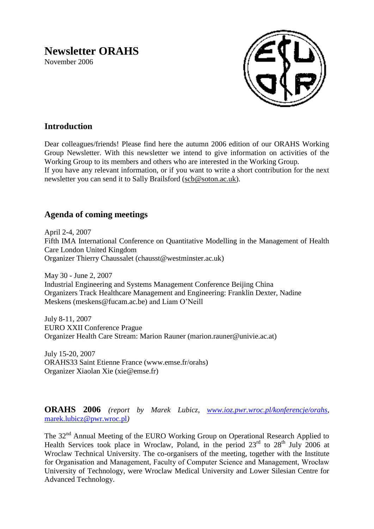# **Newsletter ORAHS**

November 2006



# **Introduction**

Dear colleagues/friends! Please find here the autumn 2006 edition of our ORAHS Working Group Newsletter. With this newsletter we intend to give information on activities of the Working Group to its members and others who are interested in the Working Group. If you have any relevant information, or if you want to write a short contribution for the next newsletter you can send it to Sally Brailsford [\(scb@soton.ac.uk\)](mailto:scb@soton.ac.uk).

# **Agenda of coming meetings**

April 2-4, 2007 Fifth IMA International Conference on Quantitative Modelling in the Management of Health Care London United Kingdom Organizer Thierry Chaussalet (chausst@westminster.ac.uk)

May 30 - June 2, 2007 Industrial Engineering and Systems Management Conference Beijing China Organizers Track Healthcare Management and Engineering: Franklin Dexter, Nadine Meskens (meskens@fucam.ac.be) and Liam O'Neill

July 8-11, 2007 EURO XXII Conference Prague Organizer Health Care Stream: Marion Rauner (marion.rauner@univie.ac.at)

July 15-20, 2007 ORAHS33 Saint Etienne France (www.emse.fr/orahs) Organizer Xiaolan Xie (xie@emse.fr)

**ORAHS 2006** *(report by Marek Lubicz, [www.ioz.pwr.wroc.pl/konferencje/orahs](http://www.ioz.pwr.wroc.pl/konferencje/orahs)*, [marek.lubicz@pwr.wroc.pl](mailto:marek.lubicz@pwr.wroc.pl)*)*

The 32<sup>nd</sup> Annual Meeting of the EURO Working Group on Operational Research Applied to Health Services took place in Wroclaw, Poland, in the period  $23<sup>rd</sup>$  to  $28<sup>th</sup>$  July 2006 at Wroclaw Technical University. The co-organisers of the meeting, together with the Institute for Organisation and Management, Faculty of Computer Science and Management, Wrocław University of Technology, were Wroclaw Medical University and Lower Silesian Centre for Advanced Technology.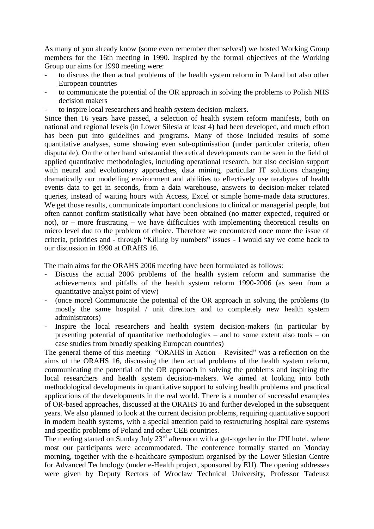As many of you already know (some even remember themselves!) we hosted Working Group members for the 16th meeting in 1990. Inspired by the formal objectives of the Working Group our aims for 1990 meeting were:

- to discuss the then actual problems of the health system reform in Poland but also other European countries
- to communicate the potential of the OR approach in solving the problems to Polish NHS decision makers
- to inspire local researchers and health system decision-makers.

Since then 16 years have passed, a selection of health system reform manifests, both on national and regional levels (in Lower Silesia at least 4) had been developed, and much effort has been put into guidelines and programs. Many of those included results of some quantitative analyses, some showing even sub-optimisation (under particular criteria, often disputable). On the other hand substantial theoretical developments can be seen in the field of applied quantitative methodologies, including operational research, but also decision support with neural and evolutionary approaches, data mining, particular IT solutions changing dramatically our modelling environment and abilities to effectively use terabytes of health events data to get in seconds, from a data warehouse, answers to decision-maker related queries, instead of waiting hours with Access, Excel or simple home-made data structures. We get those results, communicate important conclusions to clinical or managerial people, but often cannot confirm statistically what have been obtained (no matter expected, required or not), or – more frustrating – we have difficulties with implementing theoretical results on micro level due to the problem of choice. Therefore we encountered once more the issue of criteria, priorities and - through "Killing by numbers" issues - I would say we come back to our discussion in 1990 at ORAHS 16.

The main aims for the ORAHS 2006 meeting have been formulated as follows:

- Discuss the actual 2006 problems of the health system reform and summarise the achievements and pitfalls of the health system reform 1990-2006 (as seen from a quantitative analyst point of view)
- (once more) Communicate the potential of the OR approach in solving the problems (to mostly the same hospital / unit directors and to completely new health system administrators)
- Inspire the local researchers and health system decision-makers (in particular by presenting potential of quantitative methodologies – and to some extent also tools – on case studies from broadly speaking European countries)

The general theme of this meeting "ORAHS in Action – Revisited" was a reflection on the aims of the ORAHS 16, discussing the then actual problems of the health system reform, communicating the potential of the OR approach in solving the problems and inspiring the local researchers and health system decision-makers. We aimed at looking into both methodological developments in quantitative support to solving health problems and practical applications of the developments in the real world. There is a number of successful examples of OR-based approaches, discussed at the ORAHS 16 and further developed in the subsequent years. We also planned to look at the current decision problems, requiring quantitative support in modern health systems, with a special attention paid to restructuring hospital care systems and specific problems of Poland and other CEE countries.

The meeting started on Sunday July  $23<sup>rd</sup>$  afternoon with a get-together in the JPII hotel, where most our participants were accommodated. The conference formally started on Monday morning, together with the e-healthcare symposium organised by the Lower Silesian Centre for Advanced Technology (under e-Health project, sponsored by EU). The opening addresses were given by Deputy Rectors of Wroclaw Technical University, Professor Tadeusz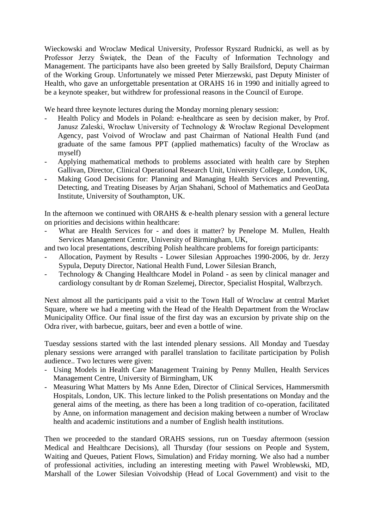Wieckowski and Wroclaw Medical University, Professor Ryszard Rudnicki, as well as by Professor Jerzy Świątek, the Dean of the Faculty of Information Technology and Management. The participants have also been greeted by Sally Brailsford, Deputy Chairman of the Working Group. Unfortunately we missed Peter Mierzewski, past Deputy Minister of Health, who gave an unforgettable presentation at ORAHS 16 in 1990 and initially agreed to be a keynote speaker, but withdrew for professional reasons in the Council of Europe.

We heard three keynote lectures during the Monday morning plenary session:

- Health Policy and Models in Poland: e-healthcare as seen by decision maker, by Prof. Janusz Zaleski, Wrocław University of Technology & Wrocław Regional Development Agency, past Voivod of Wroclaw and past Chairman of National Health Fund (and graduate of the same famous PPT (applied mathematics) faculty of the Wroclaw as myself)
- Applying mathematical methods to problems associated with health care by Stephen Gallivan, Director, Clinical Operational Research Unit, University College, London, UK,
- Making Good Decisions for: Planning and Managing Health Services and Preventing, Detecting, and Treating Diseases by Arjan Shahani, School of Mathematics and GeoData Institute, University of Southampton, UK.

In the afternoon we continued with ORAHS  $\&$  e-health plenary session with a general lecture on priorities and decisions within healthcare:

- What are Health Services for and does it matter? by Penelope M. Mullen, Health Services Management Centre, University of Birmingham, UK,
- and two local presentations, describing Polish healthcare problems for foreign participants:
- Allocation, Payment by Results Lower Silesian Approaches 1990-2006, by dr. Jerzy Sypula, Deputy Director, National Health Fund, Lower Silesian Branch,
- Technology & Changing Healthcare Model in Poland as seen by clinical manager and cardiology consultant by dr Roman Szelemej, Director, Specialist Hospital, Walbrzych.

Next almost all the participants paid a visit to the Town Hall of Wroclaw at central Market Square, where we had a meeting with the Head of the Health Department from the Wroclaw Municipality Office. Our final issue of the first day was an excursion by private ship on the Odra river, with barbecue, guitars, beer and even a bottle of wine.

Tuesday sessions started with the last intended plenary sessions. All Monday and Tuesday plenary sessions were arranged with parallel translation to facilitate participation by Polish audience.. Two lectures were given:

- Using Models in Health Care Management Training by Penny Mullen, Health Services Management Centre, University of Birmingham, UK
- Measuring What Matters by Ms Anne Eden, Director of Clinical Services, Hammersmith Hospitals, London, UK. This lecture linked to the Polish presentations on Monday and the general aims of the meeting, as there has been a long tradition of co-operation, facilitated by Anne, on information management and decision making between a number of Wroclaw health and academic institutions and a number of English health institutions.

Then we proceeded to the standard ORAHS sessions, run on Tuesday aftermoon (session Medical and Healthcare Decisions), all Thursday (four sessions on People and System, Waiting and Queues, Patient Flows, Simulation) and Friday morning. We also had a number of professional activities, including an interesting meeting with Pawel Wroblewski, MD, Marshall of the Lower Silesian Voivodship (Head of Local Government) and visit to the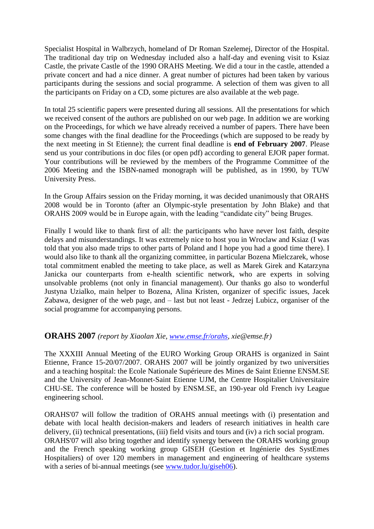Specialist Hospital in Walbrzych, homeland of Dr Roman Szelemej, Director of the Hospital. The traditional day trip on Wednesday included also a half-day and evening visit to Ksiaz Castle, the private Castle of the 1990 ORAHS Meeting. We did a tour in the castle, attended a private concert and had a nice dinner. A great number of pictures had been taken by various participants during the sessions and social programme. A selection of them was given to all the participants on Friday on a CD, some pictures are also available at the web page.

In total 25 scientific papers were presented during all sessions. All the presentations for which we received consent of the authors are published on our web page. In addition we are working on the Proceedings, for which we have already received a number of papers. There have been some changes with the final deadline for the Proceedings (which are supposed to be ready by the next meeting in St Etienne); the current final deadline is **end of February 2007**. Please send us your contributions in doc files (or open pdf) according to general EJOR paper format. Your contributions will be reviewed by the members of the Programme Committee of the 2006 Meeting and the ISBN-named monograph will be published, as in 1990, by TUW University Press.

In the Group Affairs session on the Friday morning, it was decided unanimously that ORAHS 2008 would be in Toronto (after an Olympic-style presentation by John Blake) and that ORAHS 2009 would be in Europe again, with the leading "candidate city" being Bruges.

Finally I would like to thank first of all: the participants who have never lost faith, despite delays and misunderstandings. It was extremely nice to host you in Wroclaw and Ksiaz (I was told that you also made trips to other parts of Poland and I hope you had a good time there). I would also like to thank all the organizing committee, in particular Bozena Mielczarek, whose total commitment enabled the meeting to take place, as well as Marek Girek and Katarzyna Janicka our counterparts from e-health scientific network, who are experts in solving unsolvable problems (not only in financial management). Our thanks go also to wonderful Justyna Uzialko, main helper to Bozena, Alina Kristen, organizer of specific issues, Jacek Zabawa, designer of the web page, and – last but not least - Jedrzej Lubicz, organiser of the social programme for accompanying persons.

### **ORAHS 2007** *(report by Xiaolan Xie, [www.emse.fr/orahs,](http://www.emse.fr/orahs) xie@emse.fr)*

The XXXIII Annual Meeting of the EURO Working Group ORAHS is organized in Saint Etienne, France 15-20/07/2007. ORAHS 2007 will be jointly organized by two universities and a teaching hospital: the Ecole Nationale Supérieure des Mines de Saint Etienne ENSM.SE and the University of Jean-Monnet-Saint Etienne UJM, the Centre Hospitalier Universitaire CHU-SE. The conference will be hosted by ENSM.SE, an 190-year old French ivy League engineering school.

ORAHS'07 will follow the tradition of ORAHS annual meetings with (i) presentation and debate with local health decision-makers and leaders of research initiatives in health care delivery, (ii) technical presentations, (iii) field visits and tours and (iv) a rich social program. ORAHS'07 will also bring together and identify synergy between the ORAHS working group and the French speaking working group GISEH (Gestion et Ingénierie des SystEmes Hospitaliers) of over 120 members in management and engineering of healthcare systems with a series of bi-annual meetings (see [www.tudor.lu/giseh06\)](http://www.tudor.lu/giseh06).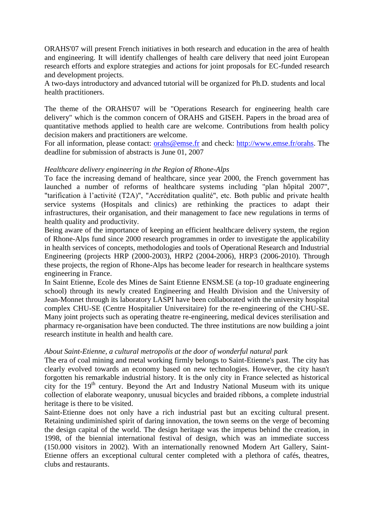ORAHS'07 will present French initiatives in both research and education in the area of health and engineering. It will identify challenges of health care delivery that need joint European research efforts and explore strategies and actions for joint proposals for EC-funded research and development projects.

A two-days introductory and advanced tutorial will be organized for Ph.D. students and local health practitioners.

The theme of the ORAHS'07 will be "Operations Research for engineering health care delivery" which is the common concern of ORAHS and GISEH. Papers in the broad area of quantitative methods applied to health care are welcome. Contributions from health policy decision makers and practitioners are welcome.

For all information, please contact: [orahs@emse.fr](mailto:orahs@emse.fr) and check: [http://www.emse.fr/orahs.](http://www.emse.fr/orahs) The deadline for submission of abstracts is June 01, 2007

#### *Healthcare delivery engineering in the Region of Rhone-Alps*

To face the increasing demand of healthcare, since year 2000, the French government has launched a number of reforms of healthcare systems including "plan hôpital 2007", "tarification à l'activité (T2A)", "Accréditation qualité", etc. Both public and private health service systems (Hospitals and clinics) are rethinking the practices to adapt their infrastructures, their organisation, and their management to face new regulations in terms of health quality and productivity.

Being aware of the importance of keeping an efficient healthcare delivery system, the region of Rhone-Alps fund since 2000 research programmes in order to investigate the applicability in health services of concepts, methodologies and tools of Operational Research and Industrial Engineering (projects HRP (2000-2003), HRP2 (2004-2006), HRP3 (2006-2010). Through these projects, the region of Rhone-Alps has become leader for research in healthcare systems engineering in France.

In Saint Etienne, Ecole des Mines de Saint Etienne ENSM.SE (a top-10 graduate engineering school) through its newly created Engineering and Health Division and the University of Jean-Monnet through its laboratory LASPI have been collaborated with the university hospital complex CHU-SE (Centre Hospitalier Universitaire) for the re-engineering of the CHU-SE. Many joint projects such as operating theatre re-engineering, medical devices sterilisation and pharmacy re-organisation have been conducted. The three institutions are now building a joint research institute in health and health care.

#### *About Saint-Etienne, a cultural metropolis at the door of wonderful natural park*

The era of coal mining and metal working firmly belongs to Saint-Etienne's past. The city has clearly evolved towards an economy based on new technologies. However, the city hasn't forgotten his remarkable industrial history. It is the only city in France selected as historical city for the  $19<sup>th</sup>$  century. Beyond the Art and Industry National Museum with its unique collection of elaborate weaponry, unusual bicycles and braided ribbons, a complete industrial heritage is there to be visited.

Saint-Etienne does not only have a rich industrial past but an exciting cultural present. Retaining undiminished spirit of daring innovation, the town seems on the verge of becoming the design capital of the world. The design heritage was the impetus behind the creation, in 1998, of the biennial international festival of design, which was an immediate success (150.000 visitors in 2002). With an internationally renowned Modern Art Gallery, Saint-Etienne offers an exceptional cultural center completed with a plethora of cafés, theatres, clubs and restaurants.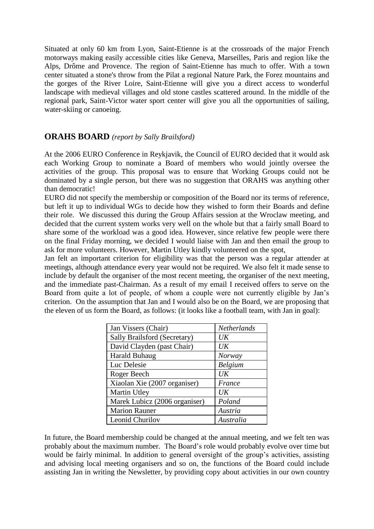Situated at only 60 km from Lyon, Saint-Etienne is at the crossroads of the major French motorways making easily accessible cities like Geneva, Marseilles, Paris and region like the Alps, Drôme and Provence. The region of Saint-Etienne has much to offer. With a town center situated a stone's throw from the Pilat a regional Nature Park, the Forez mountains and the gorges of the River Loire, Saint-Etienne will give you a direct access to wonderful landscape with medieval villages and old stone castles scattered around. In the middle of the regional park, Saint-Victor water sport center will give you all the opportunities of sailing, water-skiing or canoeing.

# **ORAHS BOARD** *(report by Sally Brailsford)*

At the 2006 EURO Conference in Reykjavik, the Council of EURO decided that it would ask each Working Group to nominate a Board of members who would jointly oversee the activities of the group. This proposal was to ensure that Working Groups could not be dominated by a single person, but there was no suggestion that ORAHS was anything other than democratic!

EURO did not specify the membership or composition of the Board nor its terms of reference, but left it up to individual WGs to decide how they wished to form their Boards and define their role. We discussed this during the Group Affairs session at the Wroclaw meeting, and decided that the current system works very well on the whole but that a fairly small Board to share some of the workload was a good idea. However, since relative few people were there on the final Friday morning, we decided I would liaise with Jan and then email the group to ask for more volunteers. However, Martin Utley kindly volunteered on the spot,

Jan felt an important criterion for eligibility was that the person was a regular attender at meetings, although attendance every year would not be required. We also felt it made sense to include by default the organiser of the most recent meeting, the organiser of the next meeting, and the immediate past-Chairman. As a result of my email I received offers to serve on the Board from quite a lot of people, of whom a couple were not currently eligible by Jan's criterion. On the assumption that Jan and I would also be on the Board, we are proposing that the eleven of us form the Board, as follows: (it looks like a football team, with Jan in goal):

| Jan Vissers (Chair)           | Netherlands    |
|-------------------------------|----------------|
| Sally Brailsford (Secretary)  | $_{\it{IJK}}$  |
| David Clayden (past Chair)    | UK             |
| Harald Buhaug                 | Norway         |
| Luc Delesie                   | <b>Belgium</b> |
| Roger Beech                   | UK             |
| Xiaolan Xie (2007 organiser)  | France         |
| Martin Utley                  | $_{\it UK}$    |
| Marek Lubicz (2006 organiser) | Poland         |
| <b>Marion Rauner</b>          | Austria        |
| Leonid Churilov               | Australia      |

In future, the Board membership could be changed at the annual meeting, and we felt ten was probably about the maximum number. The Board's role would probably evolve over time but would be fairly minimal. In addition to general oversight of the group's activities, assisting and advising local meeting organisers and so on, the functions of the Board could include assisting Jan in writing the Newsletter, by providing copy about activities in our own country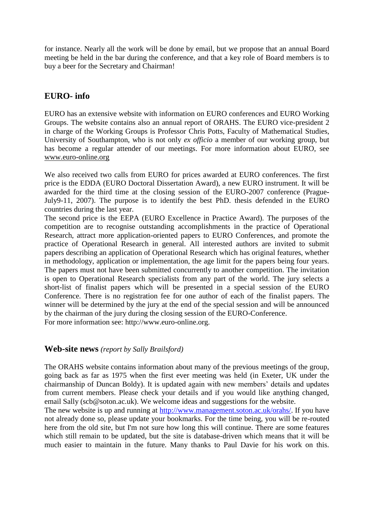for instance. Nearly all the work will be done by email, but we propose that an annual Board meeting be held in the bar during the conference, and that a key role of Board members is to buy a beer for the Secretary and Chairman!

# **EURO- info**

EURO has an extensive website with information on EURO conferences and EURO Working Groups. The website contains also an annual report of ORAHS. The EURO vice-president 2 in charge of the Working Groups is Professor Chris Potts, Faculty of Mathematical Studies, University of Southampton, who is not only *ex officio* a member of our working group, but has become a regular attender of our meetings. For more information about EURO, see [www.euro-online.org](http://www.euro-online.org/) 

We also received two calls from EURO for prices awarded at EURO conferences. The first price is the EDDA (EURO Doctoral Dissertation Award), a new EURO instrument. It will be awarded for the third time at the closing session of the EURO-2007 conference (Prague**-**July9-11, 2007). The purpose is to identify the best PhD. thesis defended in the EURO countries during the last year.

The second price is the EEPA (EURO Excellence in Practice Award). The purposes of the competition are to recognise outstanding accomplishments in the practice of Operational Research, attract more application-oriented papers to EURO Conferences, and promote the practice of Operational Research in general. All interested authors are invited to submit papers describing an application of Operational Research which has original features, whether in methodology, application or implementation, the age limit for the papers being four years. The papers must not have been submitted concurrently to another competition. The invitation is open to Operational Research specialists from any part of the world. The jury selects a short-list of finalist papers which will be presented in a special session of the EURO Conference. There is no registration fee for one author of each of the finalist papers. The winner will be determined by the jury at the end of the special session and will be announced by the chairman of the jury during the closing session of the EURO-Conference. For more information see: http://www.euro-online.org.

### **Web-site news** *(report by Sally Brailsford)*

The ORAHS website contains information about many of the previous meetings of the group, going back as far as 1975 when the first ever meeting was held (in Exeter, UK under the chairmanship of Duncan Boldy). It is updated again with new members' details and updates from current members. Please check your details and if you would like anything changed, email Sally (scb@soton.ac.uk). We welcome ideas and suggestions for the website.

The new website is up and running at [http://www.management.soton.ac.uk/orahs/.](http://www.management.soton.ac.uk/orahs/) If you have not already done so, please update your bookmarks. For the time being, you will be re-routed here from the old site, but I'm not sure how long this will continue. There are some features which still remain to be updated, but the site is database-driven which means that it will be much easier to maintain in the future. Many thanks to Paul Davie for his work on this.